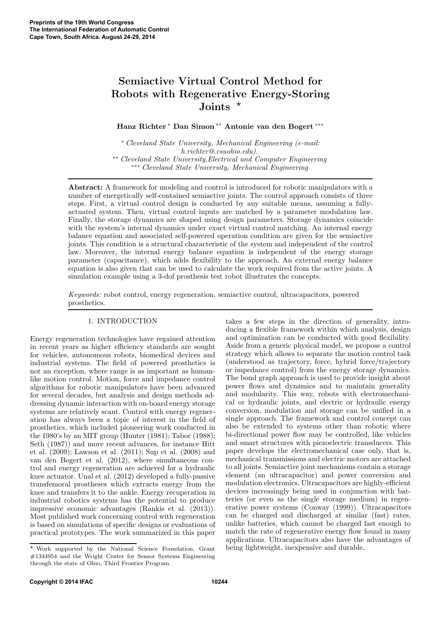# Semiactive Virtual Control Method for Robots with Regenerative Energy-Storing Joints  $\star$

Hanz Richter <sup>∗</sup> Dan Simon∗∗ Antonie van den Bogert ∗∗∗

<sup>∗</sup> *Cleveland State University, Mechanical Engineering (e-mail: h.richter@.csuohio.edu).* ∗∗ *Cleveland State University,Electrical and Computer Engineering* ∗∗∗ *Cleveland State University, Mechanical Engineering*

Abstract: A framework for modeling and control is introduced for robotic manipulators with a number of energetically self-contained semiactive joints. The control approach consists of three steps. First, a virtual control design is conducted by any suitable means, assuming a fullyactuated system. Then, virtual control inputs are matched by a parameter modulation law. Finally, the storage dynamics are shaped using design parameters. Storage dynamics coincide with the system's internal dynamics under exact virtual control matching. An internal energy balance equation and associated self-powered operation condition are given for the semiactive joints. This condition is a structural characteristic of the system and independent of the control law. Moreover, the internal energy balance equation is independent of the energy storage parameter (capacitance), which adds flexibility to the approach. An external energy balance equation is also given that can be used to calculate the work required from the active joints. A simulation example using a 3-dof prosthesis test robot illustrates the concepts.

*Keywords:* robot control, energy regeneration, semiactive control, ultracapacitors, powered prosthetics.

## 1. INTRODUCTION

Energy regeneration technologies have regained attention in recent years as higher efficiency standards are sought for vehicles, autonomous robots, biomedical devices and industrial systems. The field of powered prosthetics is not an exception, where range is as important as humanlike motion control. Motion, force and impedance control algorithms for robotic manipulators have been advanced for several decades, but analysis and design methods addressing dynamic interaction with on-board energy storage systems are relatively scant. Control with energy regeneration has always been a topic of interest in the field of prosthetics, which included pioneering work conducted in the 1980's by an MIT group (Hunter (1981); Tabor (1988); Seth  $(1987)$  and more recent advances, for instance Hitt et al. (2009); Lawson et al. (2011); Sup et al. (2008) and van den Bogert et al. (2012), where simultaneous control and energy regeneration are achieved for a hydraulic knee actuator. Unal et al. (2012) developed a fully-passive transfemoral prostheses which extracts energy from the knee and transfers it to the ankle. Energy recuperation in industrial robotics systems has the potential to produce impressive economic advantages (Rankis et al. (2013)). Most published work concerning control with regeneration is based on simulations of specific designs or evaluations of practical prototypes. The work summarized in this paper

takes a few steps in the direction of generality, introducing a flexible framework within which analysis, design and optimization can be conducted with good flexibility. Aside from a generic physical model, we propose a control strategy which allows to separate the motion control task (understood as trajectory, force, hybrid force/trajectory or impedance control) from the energy storage dynamics. The bond graph approach is used to provide insight about power flows and dynamics and to maintain generality and modularity. This way, robots with electromechanical or hydraulic joints, and electric or hydraulic energy conversion, modulation and storage can be unified in a single approach. The framework and control concept can also be extended to systems other than robotic where bi-directional power flow may be controlled, like vehicles and smart structures with piezoelectric transducers. This paper develops the electromechanical case only, that is, mechanical transmissions and electric motors are attached to all joints. Semiactive joint mechanisms contain a storage element (an ultracapacitor) and power conversion and modulation electronics. Ultracapacitors are highly-efficient devices increasingly being used in conjunction with batteries (or even as the single storage medium) in regenerative power systems (Conway (1999)). Ultracapacitors can be charged and discharged at similar (fast) rates, unlike batteries, which cannot be charged fast enough to match the rate of regenerative energy flow found in many applications. Ultracapacitors also have the advantages of being lightweight, inexpensive and durable.

<sup>⋆</sup> Work supported by the National Science Foundation, Grant #1344954 and the Wright Center for Sensor Systems Engineering through the state of Ohio, Third Frontier Program.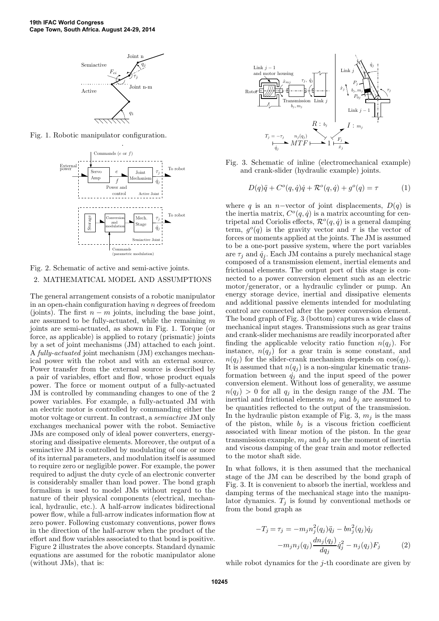

Fig. 1. Robotic manipulator configuration.



## Fig. 2. Schematic of active and semi-active joints. 2. MATHEMATICAL MODEL AND ASSUMPTIONS

The general arrangement consists of a robotic manipulator in an open-chain configuration having  $n$  degrees of freedom (joints). The first  $n - m$  joints, including the base joint, are assumed to be fully-actuated, while the remaining m joints are semi-actuated, as shown in Fig. 1. Torque (or force, as applicable) is applied to rotary (prismatic) joints by a set of joint mechanisms (JM) attached to each joint. A *fully-actuated* joint mechanism (JM) exchanges mechanical power with the robot and with an external source. Power transfer from the external source is described by a pair of variables, effort and flow, whose product equals power. The force or moment output of a fully-actuated JM is controlled by commanding changes to one of the 2 power variables. For example, a fully-actuated JM with an electric motor is controlled by commanding either the motor voltage or current. In contrast, a *semiactive* JM only exchanges mechanical power with the robot. Semiactive JMs are composed only of ideal power converters, energystoring and dissipative elements. Moreover, the output of a semiactive JM is controlled by modulating of one or more of its internal parameters, and modulation itself is assumed to require zero or negligible power. For example, the power required to adjust the duty cycle of an electronic converter is considerably smaller than load power. The bond graph formalism is used to model JMs without regard to the nature of their physical components (electrical, mechanical, hydraulic, etc.). A half-arrow indicates bidirectional power flow, while a full-arrow indicates information flow at zero power. Following customary conventions, power flows in the direction of the half-arrow when the product of the effort and flow variables associated to that bond is positive. Figure 2 illustrates the above concepts. Standard dynamic equations are assumed for the robotic manipulator alone (without JMs), that is:



Fig. 3. Schematic of inline (electromechanical example) and crank-slider (hydraulic example) joints.

$$
D(q)\ddot{q} + C^o(q, \dot{q})\dot{q} + \mathcal{R}^o(q, \dot{q}) + g^o(q) = \tau \tag{1}
$$

where q is an n–vector of joint displacements,  $D(q)$  is the inertia matrix,  $C^{o}(q, \dot{q})$  is a matrix accounting for centripetal and Coriolis effects,  $\mathcal{R}^o(q, \dot{q})$  is a general damping term,  $g^{\circ}(q)$  is the gravity vector and  $\tau$  is the vector of forces or moments applied at the joints. The JM is assumed to be a one-port passive system, where the port variables are  $\tau_j$  and  $\dot{q}_j$ . Each JM contains a purely mechanical stage composed of a transmission element, inertial elements and frictional elements. The output port of this stage is connected to a power conversion element such as an electric motor/generator, or a hydraulic cylinder or pump. An energy storage device, inertial and dissipative elements and additional passive elements intended for modulating control are connected after the power conversion element. The bond graph of Fig. 3 (bottom) captures a wide class of mechanical input stages. Transmissions such as gear trains and crank-slider mechanisms are readily incorporated after finding the applicable velocity ratio function  $n(q_i)$ . For instance,  $n(q_i)$  for a gear train is some constant, and  $n(q_i)$  for the slider-crank mechanism depends on  $cos(q_i)$ . It is assumed that  $n(q_i)$  is a non-singular kinematic transformation between  $\dot{q}_i$  and the input speed of the power conversion element. Without loss of generality, we assume  $n(q_i) > 0$  for all  $q_i$  in the design range of the JM. The inertial and frictional elements  $m_i$  and  $b_i$  are assumed to be quantities reflected to the output of the transmission. In the hydraulic piston example of Fig. 3,  $m_i$  is the mass of the piston, while  $b_i$  is a viscous friction coefficient associated with linear motion of the piston. In the gear transmission example,  $m_i$  and  $b_i$  are the moment of inertia and viscous damping of the gear train and motor reflected to the motor shaft side.

In what follows, it is then assumed that the mechanical stage of the JM can be described by the bond graph of Fig. 3. It is convenient to absorb the inertial, workless and damping terms of the mechanical stage into the manipulator dynamics.  $T_j$  is found by conventional methods or from the bond graph as

$$
-T_j = \tau_j = -m_j n_j^2 (q_j) \ddot{q}_j - b n_j^2 (q_j) \dot{q}_j -m_j n_j (q_j) \frac{d n_j (q_j)}{d q_j} \dot{q}_j^2 - n_j (q_j) F_j
$$
(2)

while robot dynamics for the  $j$ -th coordinate are given by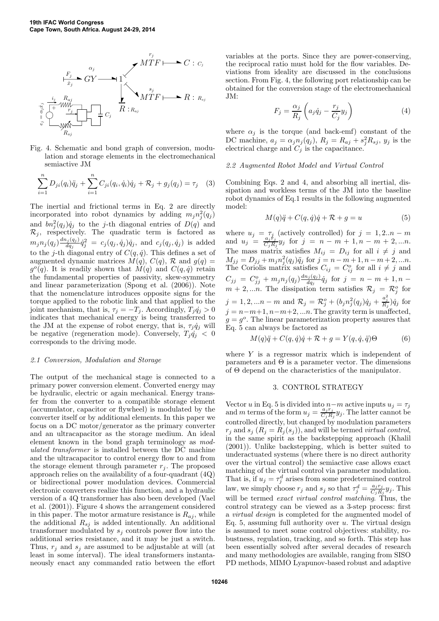

Fig. 4. Schematic and bond graph of conversion, modulation and storage elements in the electromechanical semiactive JM

$$
\sum_{i=1}^{n} D_{ji}(q_i)\ddot{q}_j + \sum_{i=1}^{n} C_{ji}(q_i, \dot{q}_i)\dot{q}_j + \mathcal{R}_j + g_j(q_j) = \tau_j \quad (3)
$$

The inertial and frictional terms in Eq. 2 are directly incorporated into robot dynamics by adding  $m_j n_j^2(q_j)$ and  $bn_j^2(q_j) \dot{q}_j$  to the j-th diagonal entries of  $D(q)$  and  $\mathcal{R}_j$ , respectively. The quadratic term is factored as  $m_j n_j(q_j) \frac{dn_j(q_j)}{dq_j}$  $\frac{d_{i}q_{i}(q_{j})}{dq_{j}}\dot{q}_{j}^{2} = c_{j}(q_{j},\dot{q}_{j})\dot{q}_{j}, \text{ and } c_{j}(q_{j},\dot{q}_{j})$  is added to the j-th diagonal entry of  $C(q, \dot{q})$ . This defines a set of augmented dynamic matrices  $M(q)$ ,  $C(q)$ ,  $\mathcal{R}$  and  $g(q)$  =  $g^{\circ}(q)$ . It is readily shown that  $M(q)$  and  $C(q, \dot{q})$  retain the fundamental properties of passivity, skew-symmetry and linear parameterization (Spong et al. (2006)). Note that the nomenclature introduces opposite signs for the torque applied to the robotic link and that applied to the joint mechanism, that is,  $\tau_j = -T_j$ . Accordingly,  $T_j \dot{q}_j > 0$ indicates that mechanical energy is being transferred to the JM at the expense of robot energy, that is,  $\tau_j \dot{q}_j$  will be negative (regeneration mode). Conversely,  $T_j \dot{q}_j < 0$ corresponds to the driving mode.

## *2.1 Conversion, Modulation and Storage*

The output of the mechanical stage is connected to a primary power conversion element. Converted energy may be hydraulic, electric or again mechanical. Energy transfer from the converter to a compatible storage element (accumulator, capacitor or flywheel) is modulated by the converter itself or by additional elements. In this paper we focus on a DC motor/generator as the primary converter and an ultracapacitor as the storage medium. An ideal element known in the bond graph terminology as *modulated transformer* is installed between the DC machine and the ultracapacitor to control energy flow to and from the storage element through parameter  $r_i$ . The proposed approach relies on the availability of a four-quadrant (4Q) or bidirectional power modulation devices. Commercial electronic converters realize this function, and a hydraulic version of a 4Q transformer has also been developed (Vael et al. (2001)). Figure 4 shows the arrangement considered in this paper. The motor armature resistance is  $R_{ai}$ , while the additional  $R_{s,i}$  is added intentionally. An additional transformer modulated by  $s_i$  controls power flow into the additional series resistance, and it may be just a switch. Thus,  $r_i$  and  $s_i$  are assumed to be adjustable at will (at least in some interval). The ideal transformers instantaneously enact any commanded ratio between the effort

variables at the ports. Since they are power-conserving, the reciprocal ratio must hold for the flow variables. Deviations from ideality are discussed in the conclusions section. From Fig. 4, the following port relationship can be obtained for the conversion stage of the electromechanical JM:

$$
F_j = \frac{\alpha_j}{R_j} \left( a_j \dot{q}_j - \frac{r_j}{C_j} y_j \right) \tag{4}
$$

where  $\alpha_i$  is the torque (and back-emf) constant of the DC machine,  $a_j = \alpha_j n_j(q_j)$ ,  $R_j = R_{aj} + s_j^2 R_{sj}$ ,  $y_j$  is the electrical charge and  $C_j$  is the capacitance.

#### *2.2 Augmented Robot Model and Virtual Control*

Combining Eqs. 2 and 4, and absorbing all inertial, dissipation and workless terms of the JM into the baseline robot dynamics of Eq.1 results in the following augmented model:

$$
M(q)\ddot{q} + C(q,\dot{q})\dot{q} + \mathcal{R} + g = u \tag{5}
$$

where  $u_j = \tau_j$  (actively controlled) for  $j = 1, 2...n - m$ and  $u_j = \frac{a_j t_j}{C_i R}$  $\frac{a_j r_j}{C_j R_j} y_j$  for  $j = n - m + 1, n - m + 2, ...n$ . The mass matrix satisfies  $M_{ij} = D_{ij}$  for all  $i \neq j$  and  $M_{jj} = D_{jj} + m_j n_j^2 (q_j) \ddot{q}_j$  for  $j = n - m + 1, n - m + 2, ... n$ . The Coriolis matrix satisfies  $C_{ij} = C_{ij}^o$  for all  $i \neq j$  and  $C_{jj} = C_{jj}^o + m_j n_j (q_j) \frac{dn_j(q_j)}{dq_j}$  $\frac{d_{ij}(q_j)}{dq_j}\dot{q}_j$  for  $j\,=\,n\,-\,m\,+\,1,n\,-\,n$  $m+2,...n$ . The dissipation term satisfies  $\mathcal{R}_j = \mathcal{R}_j^o$  for  $j = 1, 2, ...n - m$  and  $\mathcal{R}_j = \mathcal{R}_j^o + (b_j n_j^2 (q_j) \dot{q}_j + \frac{a_j^2}{R_j}) \dot{q}_j$  for  $j = n-m+1, n-m+2, \ldots n$ . The gravity term is unaffected,  $g = g^o$ . The linear parameterization property assures that Eq. 5 can always be factored as

$$
M(q)\ddot{q} + C(q,\dot{q})\dot{q} + \mathcal{R} + g = Y(q,\dot{q},\ddot{q})\Theta
$$
 (6)

where  $Y$  is a regressor matrix which is independent of parameters and  $\Theta$  is a parameter vector. The dimensions of Θ depend on the characteristics of the manipulator.

#### 3. CONTROL STRATEGY

Vector u in Eq. 5 is divided into  $n-m$  active inputs  $u_j = \tau_j$ and m terms of the form  $u_j = \frac{a_j r_j}{C \cdot B}$  $\frac{a_j r_j}{C_j R_j} y_j$ . The latter cannot be controlled directly, but changed by modulation parameters  $r_j$  and  $s_j$   $(R_j = R_j(s_j))$ , and will be termed *virtual control*, in the same spirit as the backstepping approach (Khalil (2001)). Unlike backstepping, which is better suited to underactuated systems (where there is no direct authority over the virtual control) the semiactive case allows exact matching of the virtual control via parameter modulation. That is, if  $u_j = \tau_j^d$  arises from some predetermined control law, we simply choose  $r_j$  and  $s_j$  so that  $\tau_j^d = \frac{a_j r_j}{C_i R}$  $\frac{a_j r_j}{C_j R_j} y_j$ . This will be termed *exact virtual control matching*. Thus, the control strategy can be viewed as a 3-step process: first a *virtual design* is completed for the augmented model of Eq. 5, assuming full authority over  $u$ . The virtual design is assumed to meet some control objectives: stability, robustness, regulation, tracking, and so forth. This step has been essentially solved after several decades of research and many methodologies are available, ranging from SISO PD methods, MIMO Lyapunov-based robust and adaptive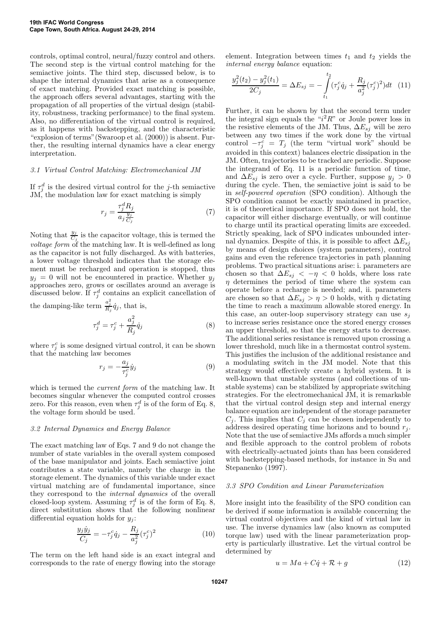controls, optimal control, neural/fuzzy control and others. The second step is the virtual control matching for the semiactive joints. The third step, discussed below, is to shape the internal dynamics that arise as a consequence of exact matching. Provided exact matching is possible, the approach offers several advantages, starting with the propagation of all properties of the virtual design (stability, robustness, tracking performance) to the final system. Also, no differentiation of the virtual control is required, as it happens with backstepping, and the characteristic "explosion of terms"(Swaroop et al. (2000)) is absent. Further, the resulting internal dynamics have a clear energy interpretation.

## *3.1 Virtual Control Matching: Electromechanical JM*

If  $\tau_j^d$  is the desired virtual control for the j-th semiactive JM, the modulation law for exact matching is simply

$$
r_j = \frac{\tau_j^d R_j}{a_j \frac{y_j}{C_j}}\tag{7}
$$

Noting that  $\frac{y_j}{C_j}$  is the capacitor voltage, this is termed the *voltage form* of the matching law. It is well-defined as long as the capacitor is not fully discharged. As with batteries, a lower voltage threshold indicates that the storage element must be recharged and operation is stopped, thus  $y_i = 0$  will not be encountered in practice. Whether  $y_i$ approaches zero, grows or oscillates around an average is discussed below. If  $\tau_j^d$  contains an explicit cancellation of the damping-like term  $\frac{a_j^2}{R_j} \dot{q}_j$ , that is,

$$
\tau_j^d = \tau_j^c + \frac{a_j^2}{R_j} \dot{q}_j \tag{8}
$$

where  $\tau_j^c$  is some designed virtual control, it can be shown that the matching law becomes

$$
r_j = -\frac{a_j}{\tau_j^c} \dot{y}_j \tag{9}
$$

which is termed the *current form* of the matching law. It becomes singular whenever the computed control crosses zero. For this reason, even when  $\tau_j^d$  is of the form of Eq. 8, the voltage form should be used.

## *3.2 Internal Dynamics and Energy Balance*

The exact matching law of Eqs. 7 and 9 do not change the number of state variables in the overall system composed of the base manipulator and joints. Each semiactive joint contributes a state variable, namely the charge in the storage element. The dynamics of this variable under exact virtual matching are of fundamental importance, since they correspond to the *internal dynamics* of the overall closed-loop system. Assuming  $\tau_j^d$  is of the form of Eq. 8, direct substitution shows that the following nonlinear differential equation holds for  $y_i$ :

$$
\frac{y_j \dot{y}_j}{C_j} = -\tau_j^c \dot{q}_j - \frac{R_j}{a_j^2} (\tau_j^c)^2 \tag{10}
$$

The term on the left hand side is an exact integral and corresponds to the rate of energy flowing into the storage element. Integration between times  $t_1$  and  $t_2$  yields the *internal energy balance* equation:

$$
\frac{y_j^2(t_2) - y_j^2(t_1)}{2C_j} = \Delta E_{sj} = -\int_{t_1}^{t_2} (\tau_j^c \dot{q}_j + \frac{R_j}{a_j^2} (\tau_j^c)^2) dt \quad (11)
$$

Further, it can be shown by that the second term under the integral sign equals the " $i^2R$ " or Joule power loss in the resistive elements of the JM. Thus,  $\Delta E_{sj}$  will be zero between any two times if the work done by the virtual control  $-\tau_j^c = T_j$  (the term "virtual work" should be avoided in this context) balances electric dissipation in the JM. Often, trajectories to be tracked are periodic. Suppose the integrand of Eq. 11 is a periodic function of time, and  $\Delta E_{sj}$  is zero over a cycle. Further, suppose  $y_j > 0$ during the cycle. Then, the semiactive joint is said to be in *self-powered operation* (SPO condition). Although the SPO condition cannot be exactly maintained in practice, it is of theoretical importance. If SPO does not hold, the capacitor will either discharge eventually, or will continue to charge until its practical operating limits are exceeded. Strictly speaking, lack of SPO indicates unbounded internal dynamics. Despite of this, it is possible to affect  $\Delta E_{si}$ by means of design choices (system parameters), control gains and even the reference trajectories in path planning problems. Two practical situations arise: i. parameters are chosen so that  $\Delta E_{s_j} < -\eta < 0$  holds, where loss rate  $\eta$  determines the period of time where the system can operate before a recharge is needed; and, ii. parameters are chosen so that  $\Delta E_{sj} > \eta > 0$  holds, with  $\eta$  dictating the time to reach a maximum allowable stored energy. In this case, an outer-loop supervisory strategy can use  $s_i$ to increase series resistance once the stored energy crosses an upper threshold, so that the energy starts to decrease. The additional series resistance is removed upon crossing a lower threshold, much like in a thermostat control system. This justifies the inclusion of the additional resistance and a modulating switch in the JM model. Note that this strategy would effectively create a hybrid system. It is well-known that unstable systems (and collections of unstable systems) can be stabilized by appropriate switching strategies. For the electromechanical JM, it is remarkable that the virtual control design step and internal energy balance equation are independent of the storage parameter  $C_i$ . This implies that  $C_i$  can be chosen independently to address desired operating time horizons and to bound  $r_j$ . Note that the use of semiactive JMs affords a much simpler and flexible approach to the control problem of robots with electrically-actuated joints than has been considered with backstepping-based methods, for instance in Su and Stepanenko (1997).

#### *3.3 SPO Condition and Linear Parameterization*

More insight into the feasibility of the SPO condition can be derived if some information is available concerning the virtual control objectives and the kind of virtual law in use. The inverse dynamics law (also known as computed torque law) used with the linear parameterization property is particularly illustrative. Let the virtual control be determined by

$$
u = Ma + C\dot{q} + \mathcal{R} + g \tag{12}
$$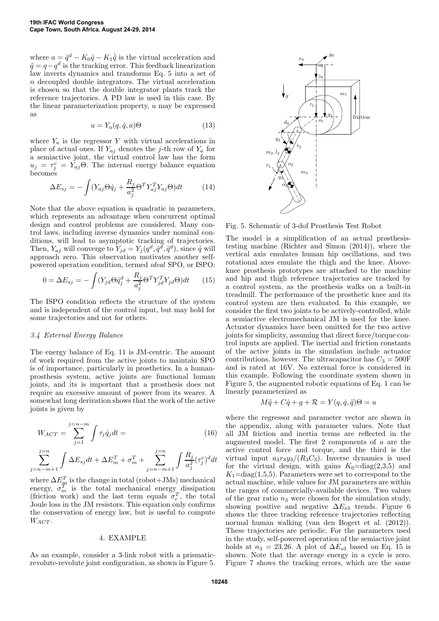where  $a = \ddot{q}^d - K_0 \tilde{q} - K_1 \dot{\tilde{q}}$  is the virtual acceleration and  $\tilde{q} = q - q^d$  is the tracking error. This feedback linearization law inverts dynamics and transforms Eq. 5 into a set of n decoupled double integrators. The virtual acceleration is chosen so that the double integrator plants track the reference trajectories. A PD law is used in this case. By the linear parameterization property, u may be expressed as

$$
u = Y_a(q, \dot{q}, a)\Theta \tag{13}
$$

where  $Y_a$  is the regressor Y with virtual accelerations in place of actual ones. If  $Y_{aj}$  denotes the j-th row of  $Y_a$  for a semiactive joint, the virtual control law has the form  $u_j = \tau_j^c = \tilde{Y}_{aj} \Theta$ . The internal energy balance equation becomes

$$
\Delta E_{sj} = -\int (Y_{aj}\Theta \dot{q}_j + \frac{R_j}{a_j^2} \Theta^T Y_{aj}^T Y_{aj} \Theta) dt \tag{14}
$$

Note that the above equation is quadratic in parameters, which represents an advantage when concurrent optimal design and control problems are considered. Many control laws, including inverse dynamics under nominal conditions, will lead to asymptotic tracking of trajectories. Then,  $Y_{aj}$  will converge to  $Y_{jd} = Y_j(q^d, \dot{q}^d, \ddot{q}^d)$ , since  $\ddot{q}$  will approach zero. This observation motivates another selfpowered operation condition, termed *ideal* SPO, or ISPO:

$$
0 = \Delta E_{sj} = -\int (Y_{jd}\Theta \dot{q}_j^d + \frac{R_j}{a_j^2} \Theta^T Y_{jd}^T Y_{jd} \Theta) dt \qquad (15)
$$

The ISPO condition reflects the structure of the system and is independent of the control input, but may hold for some trajectories and not for others.

## *3.4 External Energy Balance*

The energy balance of Eq. 11 is JM-centric. The amount of work required from the active joints to maintain SPO is of importance, particularly in prosthetics. In a humanprosthesis system, active joints are functional human joints, and its is important that a prosthesis does not require an excessive amount of power from its wearer. A somewhat long derivation shows that the work of the active joints is given by

$$
W_{ACT} = \sum_{j=1}^{j=n-m} \int \tau_j \dot{q}_j dt =
$$
\n
$$
\sum_{j=n-m+1}^{j=n} \int \Delta E_{sj} dt + \Delta E_m^T + \sigma_m^T + \sum_{j=n-m+1}^{j=n} \int \frac{R_j}{a_j^2} (\tau_j^c)^d dt
$$
\n(16)

where  $\Delta E_{\text{m}}^{T}$  is the change in total (robot+JMs) mechanical energy,  $\sigma_m^T$  is the total mechanical energy dissipation (friction work) and the last term equals  $\sigma_e^T$ , the total Joule loss in the JM resistors. This equation only confirms the conservation of energy law, but is useful to compute  $W_{ACT}$ .

#### 4. EXAMPLE

As an example, consider a 3-link robot with a prismaticrevolute-revolute joint configuration, as shown in Figure 5.



Fig. 5. Schematic of 3-dof Prosthesis Test Robot

The model is a simplification of an actual prosthesistesting machine (Richter and Simon (2014)), where the vertical axis emulates human hip oscillations, and two rotational axes emulate the thigh and the knee. Aboveknee prosthesis prototypes are attached to the machine and hip and thigh reference trajectories are tracked by a control system, as the prosthesis walks on a built-in treadmill. The performance of the prosthetic knee and its control system are then evaluated. In this example, we consider the first two joints to be actively-controlled, while a semiactive electromechanical JM is used for the knee. Actuator dynamics have been omitted for the two active joints for simplicity, assuming that direct force/torque control inputs are applied. The inertial and friction constants of the active joints in the simulation include actuator contributions, however. The ultracapacitor has  $C_3 = 500$ F and is rated at 16V. No external force is considered in this example. Following the coordinate system shown in Figure 5, the augmented robotic equations of Eq. 1 can be linearly parameterized as

$$
M\ddot{q} + C\dot{q} + g + \mathcal{R} = Y(q, \dot{q}, \ddot{q})\Theta = u
$$

where the regressor and parameter vector are shown in the appendix, along with parameter values. Note that all JM friction and inertia terms are reflected in the augmented model. The first  $2$  components of  $u$  are the active control force and torque, and the third is the virtual input  $a_3r_3y_3/(R_3C_3)$ . Inverse dynamics is used for the virtual design, with gains  $K_0 = diag(2,3,5)$  and  $K_1 = diag(1,5,5)$ . Parameters were set to correspond to the actual machine, while values for JM parameters are within the ranges of commercially-available devices. Two values of the gear ratio  $n_3$  were chosen for the simulation study, showing positive and negative  $\Delta E_{s3}$  trends. Figure 6 shows the three tracking reference trajectories reflecting normal human walking (van den Bogert et al. (2012)). These trajectories are periodic. For the parameters used in the study, self-powered operation of the semiactive joint holds at  $n_3 = 23.26$ . A plot of  $\Delta E_{s3}$  based on Eq. 15 is shown. Note that the average energy in a cycle is zero. Figure 7 shows the tracking errors, which are the same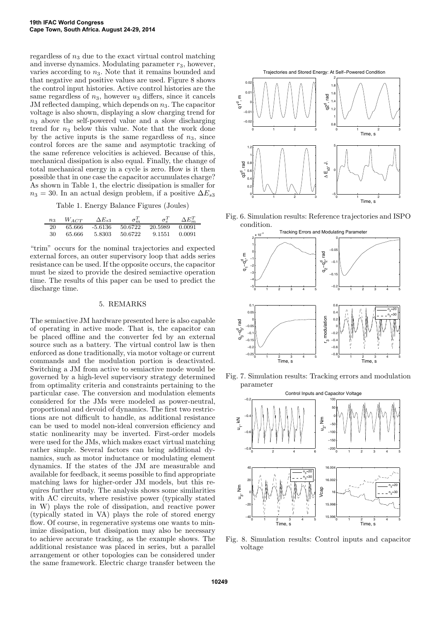regardless of  $n_3$  due to the exact virtual control matching and inverse dynamics. Modulating parameter  $r_3$ , however, varies according to  $n_3$ . Note that it remains bounded and that negative and positive values are used. Figure 8 shows the control input histories. Active control histories are the same regardless of  $n_3$ , however  $u_3$  differs, since it cancels JM reflected damping, which depends on  $n_3$ . The capacitor voltage is also shown, displaying a slow charging trend for  $n_3$  above the self-powered value and a slow discharging trend for  $n_3$  below this value. Note that the work done by the active inputs is the same regardless of  $n_3$ , since control forces are the same and asymptotic tracking of the same reference velocities is achieved. Because of this, mechanical dissipation is also equal. Finally, the change of total mechanical energy in a cycle is zero. How is it then possible that in one case the capacitor accumulates charge? As shown in Table 1, the electric dissipation is smaller for  $n_3 = 30$ . In an actual design problem, if a positive  $\Delta E_{s3}$ 

Table 1. Energy Balance Figures (Joules)

| $n_3$ | $W_{ACT}$ | $\Delta E_{s3}$ | $\sigma_m^T$ |         | $\Delta E_m^T$ |
|-------|-----------|-----------------|--------------|---------|----------------|
| 20    | 65.666    | -5.6136         | 50.6722      | 20.5989 | 0.0091         |
| 30    | 65.666    | 5.8303          | 50.6722      | 9.1551  | 0.0091         |

"trim" occurs for the nominal trajectories and expected external forces, an outer supervisory loop that adds series resistance can be used. If the opposite occurs, the capacitor must be sized to provide the desired semiactive operation time. The results of this paper can be used to predict the discharge time.

## 5. REMARKS

The semiactive JM hardware presented here is also capable of operating in active mode. That is, the capacitor can be placed offline and the converter fed by an external source such as a battery. The virtual control law is then enforced as done traditionally, via motor voltage or current commands and the modulation portion is deactivated. Switching a JM from active to semiactive mode would be governed by a high-level supervisory strategy determined from optimality criteria and constraints pertaining to the particular case. The conversion and modulation elements considered for the JMs were modeled as power-neutral, proportional and devoid of dynamics. The first two restrictions are not difficult to handle, as additional resistance can be used to model non-ideal conversion efficiency and static nonlinearity may be inverted. First-order models were used for the JMs, which makes exact virtual matching rather simple. Several factors can bring additional dynamics, such as motor inductance or modulating element dynamics. If the states of the JM are measurable and available for feedback, it seems possible to find appropriate matching laws for higher-order JM models, but this requires further study. The analysis shows some similarities with AC circuits, where resistive power (typically stated in W) plays the role of dissipation, and reactive power (typically stated in VA) plays the role of stored energy flow. Of course, in regenerative systems one wants to minimize dissipation, but dissipation may also be necessary to achieve accurate tracking, as the example shows. The additional resistance was placed in series, but a parallel arrangement or other topologies can be considered under the same framework. Electric charge transfer between the

Trajectories and Stored Energy: At Self−Powered Condition



Fig. 6. Simulation results: Reference trajectories and ISPO condition.



Fig. 7. Simulation results: Tracking errors and modulation parameter



Fig. 8. Simulation results: Control inputs and capacitor voltage